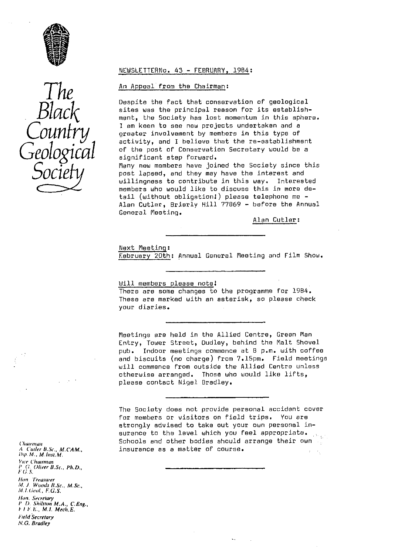

# *The Black Country Geological Socie*

#### NEWSLETTERNO. 43 - FEBRUARY, 1984:

# An Appeal from the Chairman :

Despite the fact that conservation of geological sites was the principal reason for its establishment, the Society has lost momentum in this sphere. I am keen to see new projects undertaken and a greater involvement by members **in** this type of activity, and I believe that the re-establishment of the post of Conservation Secretary would be a significant step forward. Many new members have joined the Society since this post lapsed, and they may have the interest and willingness to contribute in this way. Interested members who would like to discuss this in more detail (without obligation:) please telephone me - Alan Cutler, Brierly Hill 77869 - before the Annual General Meeting.

Alan Cutler :

#### Next Meeting:

February 20th : Annual General Meeting and Film Show.

# Will members please note! There are some changes to the programme for 1904. These are marked with an asterisk, so please check your diaries.

Meetings are held in the Allied Centre, Green Man Entry, Tower Street, Dudley, behind the Malt Shovel pub. Indoor meetings commence at 8 p.m. with coffee and biscuits (no charge) from 7.15pm. Field meetings will commence from outside the Allied Centre unless otherwise arranged. Those who would like lifts, please contact Nigel Bradley,

The Society does not provide personal accident cover for members or visitors on field trips. You are strongly advised to take out your own personal insurance to the level which you feel appropriate. *('harman* Schools and other bodies should arrange their own  $\frac{1}{2}$ <br>A Cuder B.Sc. M.CAM. **Insurance as a matter of course.** At *C'uil r U.Sc., M,CAM"* insurance as a matter of course.

!),p. *hl., M.lrrs:, M. Vu e Chairman P f; (liver BSc., Ph,D" f • ' (i s. flint, Treasurer* M. J. Woods B.Sc., M.Sc., M.I.Geol, F.G.S. *Nvrr. Se<relury P U. Shilsron MA., CEng., F ! . E.. M.I. Mech, E. Field Secretary N.G. Bradley*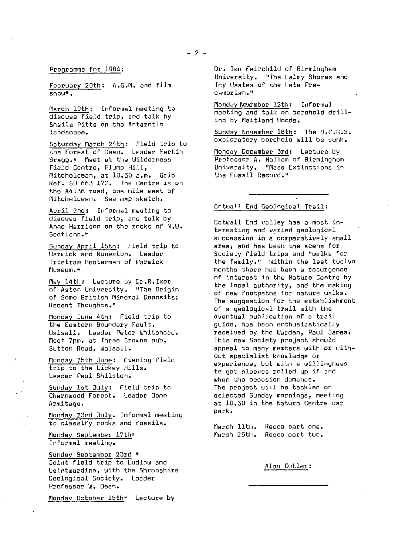# Programme for 1984 :

February 20th: A. C.M. and film  $show*$ .

March 19th: Informal meeting to discuss field trip, and talk by Sheila Pitts on the Antarctic landscape.

Saturday March 24th: Field trip to the Forest of Dean. Leader Martin Bragg.\* Meet at the Wilderness Field Centre, Plump Hill, Mitcheldeen, at 10.30 a.m. Grid Ref. 50 663 173. The Centre is on the A4136 road, one mile west of Mitcheldean. See map sketch.

April 2nd: Informal meeting to discuss field trip, and talk by Anne Harrison on the rocks of N.W. Scotland.\*

Sunday April 15th: Field trip to Warwick and Nuneaton. Leader Tristram Besterman of Warwick Museum.\*

May 14th: Lecture by Dr.R.Ixer of Aston University. "The Origin of Some British Mineral Deposits; Recent Thoughts."

Monday June 4th: Field trip to the Eastern Boundary Fault, Walsall. Leader Peter Whitehead. Meet 7pm. at Three Crowns pub, Sutton Road, Walsall.

Monday 25th June: Evening field trip to the Lickey Hills. Leader Paul Shilston.

Sunday 1st July: Field trip to Charnwood Forest. Leader John Armitage.

Monday 23rd July. Informal meeting to classify rocks and fossils.

Monday September 17th \* Informal meeting.

Sunday September 23rd \* Joint field trip to Ludlow and Leintwardine, with the Shropshire Geological Society. Leader Professor W. Dean.

Monday October 15th\* Lecture by

Dr. Ian Fairchild of Birmingham University. "The Balmy Shores and Icy Wastes of the Late Precambrian."

Monday November 12th: Informal meeting and talk on borehold drilling by Maitland Woods.

Sunday November 18th: The B.C.G.S. exploratory borehole will be sunk.

Monday December 3rd: Lecture by Professor A. Hallam of Birmingham University. "Mass Extinctions in the Fossil Record."

# Cotwall End Geological Trail :

Cotwall End valley has a most interesting and varied geological succession in a comparatively small area, and has been the scene for Society field trips and "walks For the family." Within the last twelve months there has been a resurgence of interest in the Nature Centre by the local authority, and-the making of new footpaths for nature walks. The suggestion for the establishment of a geological trail with the eventual publication of a trail guide, has been enthusiastically received by the Warden, Paul James. This new Society project should appeal to many members with or without specialist knowledge or experience, but with a willingness to get sleeves rolled up if and when the occasion demands. The project will be tackled on selected Sunday mornings, meeting at 10.30 in the Nature Centre car park.

March 11th. Recce part one. March 25th. Recce part two.

### Alan Cutler: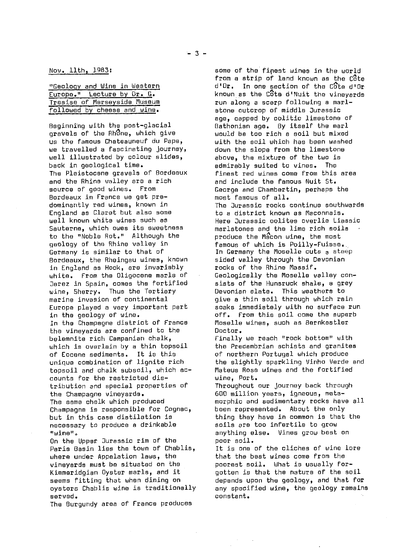| "Geology and Wine in Western |  |
|------------------------------|--|
| Europe." Lecture by Dr. G.   |  |
| Tresise of Merseyside Museum |  |
| followed by cheese and wine. |  |

Beginning with the post-glacial gravels of the Rhone, which give us the famous Chateauneuf du Pape, we travelled a fascinating journey, well illustrated by colour slides, back in geological time. The Pleistocene gravels of Bordeaux and the Rhine valley are a rich source of good wines. From Bordeaux in France we get predominantly red wines, known in England as Claret but also some well known white wines such as Sauterne, which owes its sweetness to the "Noble Rot." Although the geology of the Rhine valley in Germany is similar to that of Bordeaux, the Rheingau wines, known in England as Hock, are invariably white. From the Oligocene marls of Jerez in Spain, comes the fortified wine, Sherry. Thus the Tertiary marine invasion of continental Europe played a very important part in the geology of wine. In the Champagne district of France the vineyards are confined to the belemnite rich Campanian chalk, which is overlain by a thin topsoil of Eocene sediments. It is this unique combination of lignite rich topsoil and chalk subsoil, which accounts for the restricted distribution and special properties of the Champagne vineyards. The same chalk which produced Champagne is responsible for Cognac, but in this case distilation is necessary to produce a drinkable "wine".

On the Upper Jurassic rim of the Paris Basin **lies** the town of Chablis, where under Appelation laws, the vineyards must be situated on the Kimmeridgian Oyster marls, and it seems fitting that when dining on oysters Chablis wine is traditionally served.

The Burgundy area of France produces

some of the fipest wines in the world from a strip of land known as the Côte d'Or. In one section of the Cote d'Or known as the Côte d'Nyit the vineyards run along a scarp following a marlstone outcrop of middle Jurassic age, capped by oolitic limestone of Bathonian age. By itself the marl would be too rich a soil but mixed with the soil which has been washed down the slope from the limestone above, the mixture of the two is admirably suited to vines. The finest red wines come from this area and include the famous Nuit St. George and Chambertin, perhaps the most famous of all. The Jurassic rocks continue southwards to a district known as Maconnais. Here Jurassic oolites overlie Liassic marlstones and the lime rich soils produce the Macon wine, the most famous of which is Poilly-Fuisse.. In Germany the Moselle cuts a steep sided valley through the Devonian rocks of the Rhine Massif. Geologically the Moselle valley consists of the Hunsruck shale, a grey Devonian slate. This weathers to give a thin soil through which rain soaks immediately with no surface run off. From this soil come the superb Moselle wines, such as Bernkestler Doctor.

Finally we reach "rock bottom" with the Precambrian schists and granites of northern Portugal which produce the slightly sparkling Vinho Verde and Plateus Rose wines and the fortified wine, Port.

Throughout our journey back through 600 million years, igneous, metamorphic and sedimentary rocks have all been represented. About the only thing they have in common is that the soils are too infertile to grow anything else. Vines grow best on poor soil.

It is one of the cliches of wine lore that the best wines come from the poorest soil. What is usually forgotten is that the nature of the soil depends upon the geology, and that for any specified wine, the geology remains constant.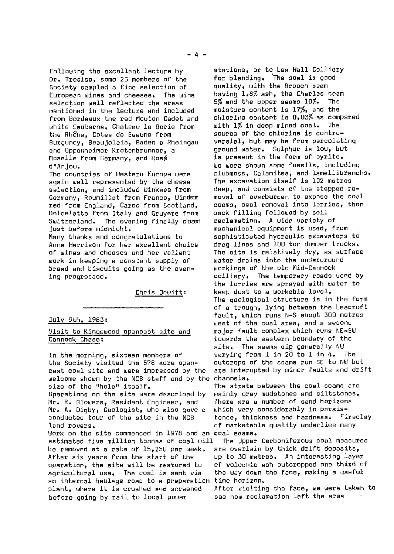following the excellent lecture by Dr. Tresise, some 25 members of the Society sampled a fine selection of<br>European wines and cheeses. The wine European wines and cheeses. selection well reflected the areas mentioned in the lecture and included from Bordeaux the red Mouton Cadet and white Sauterne, Chateau is Borie from the Rhône, Cotes de Beaune from Burgundy, Beaujolais, Baden a Rheingau and Oppenheimer Krotenbrunner, a Moselle from Germany, and Rosa d'Anjou.

The countries of Western Europe were again well represented by the cheese selection, and included Winkase from Germany, Roumillat from France, Windsor red from England, Caroc from Scotland, Dolcelatte from Italy and Gruyere from Switzerland. The evening finally closed just before midnight.

Many thanks and congratulations to Anne Harrison for her excellent choice of wines and cheeses and her valiant work in keeping a constant supply of bread and biscuits going as the evening progressed.

Chris Jowitt:

#### July 9th, 1983 :

# Visit to Kingswood opencast site and Cannock Chase :

in the morning, sixteen members of the Society visited the 578 acre opencast coal site and were impressed by the welcome shown by the NCB staff and by the channels. **size** of the "hole" itself. Operations on the site were described by

Mr. R. Blowers, Resident Engineer, and FIr, A. Digby, Geologist, who also gave a conducted tour of the site in the NCB land rovers.

Work on the site commenced **in** 1978 and an coal seams. estimated five million tonnes of coal will be removed at a rate of 15,250 per week. After six years from the start of the operation, the site will be restored to agricultural use. The coal is sent via an internal haulage road to a preparation plant, where it is crushed and screened before going by rail to locsl.power

stations, or to Lea Hall Colliery for blending. The coal is good quality, with the Brooch seam having 1.8% ash, the Charles seem 5% and the upper seams 10%. The moisture content is 17%, and the chlorine content is 0.03% as compared with 1% in deep mined coal. The source of the chlorine is controversial, but may be from percolating ground water. Sulphur is low, but is present in the form of pyrite. We were shown some fossils, including clubmoss, Calamites, and lamellibranchs, The excavation itself is 102 metres deep, and consists of the stepped removal of overburden to expose the coal seams, coal removal into lorries, then back filling followed by soil reclamation. A wide variety of mechanical equipment is used, from sophisticated hydraulic excavators to drag lines and 100 ton dumper trucks. The site is relatively dry, as surface water drains into the underground workings of the old Mid-Cannock colliery. The temporary roads used by the lorries are sprayed with water to keep dust to a workable level. The geological structure is in the form of a trough, lying between the Leacroft fault, which runs N-S about 300 metres west of the coal area, and a second major fault complex which runs NE-SW towards the eastern boundary of the site. The seams dip generally NW varying from 1 in 20 to 1 in 4. The outcrops of the seams run SE to NW but are interupted by minor faults and drift

The strata between the coal seams are mainly grey mudstones and siltstones. There are a number of sand horizons which vary considerably in persistence, thickness and hardness. Fireclay of marketable quality underlies many

The Upper Carboniferous coal measures are overlain by thick drift deposits, up to 30 metres. An interesting layer of volcanic ash outcropped one third of the way down the face, making a useful time horizon.

After visiting the face, we were taken to see how reclamation left the area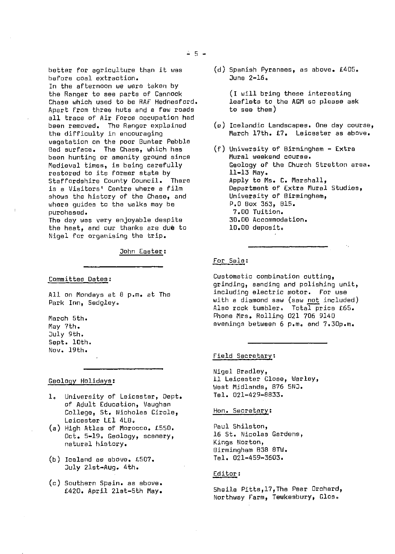better for agriculture than it was before coal extraction. In the afternoon we were taken by the Ranger to see parts of Cannock Chase which used to be RAF Hednesferd. Apart from three huts and a few roads all trace of Air Force occupation had been removed. The Ranger explained the difficulty in encouraging vegetation on the poor Bunter Pebble Bad surface. The Chase, which has been hunting or amenity ground since

Medieval times, is being carefully restored to its former state by Staffordshire County Council. There is a Visitors' Centre where a film shows the history of the Chase, and where guides to the walks may be purchased.

The day was very enjoyable despite the heat, and our thanks are dub to Nigel for organising the trip.

John Easter :

#### Committee Dates :

All on Mondays at 8 p.m. at The Park Inn, Sedgley.

March 5th. May 7th. July 9th. Sept. 10th. Nov. 19th.

Geology Holidays :

- 1. University of Leicester, Dept. of Adult Education, Vaughan College, St. Nicholas Circle, Leicester LE1 4LB.
- (a) High Atlas of Morocco. €550. Oct. 5-19. Geology, scenery, natural history.
- (b) Iceland as above, €507. July 21st-Aug. 4th.
- (c) Southern Spain. as above. €420. April 21st-5th May.

(d) Spanish Pyrenees, as above. €405,  $J$ une  $2-16$ .

> (I will bring these interesting leaflets to the AGM so please ask to see them)

- (a) Icelandic Landscapes, One day course, March 17th. £7. Leicester as above.
- (f) University of Birmingham Extra Mural weekend course. Geology of the Church Stratton area. 11-13 May. Apply to Ms. C. Marshall, Department of Extra Mural Studies, University of Birmingham, P.O Box 353, 815. 7.00 Tuition. 30.00 Accommodation. 10.00 deposit.

#### For Sale :

Custometic combination cutting, grindings sanding and polishing unit, including electric motor. For use with a diamond saw (saw <u>not</u> included) Also rock tumbler. Total price £65. Phone Mrs. Rolling 021 706 9140 evenings between 6 p.m. and 7.30p.m.

#### Field Secretary:

Nigel Bradley, 11 Leicester Close, Warley, West Midlands, 876 SNJ. Tel. 021-429-8833.

#### Hon. Secretary :

Paul Shilston, 16 St. Nicolas Gardens, Kings Norton, Birmingham 838 BTW. Tel. 021-459-3603.

# Editor :

Sheila Pitts,l7,The Pear Orchard, Northway Farm, Tewkesbury, G1os.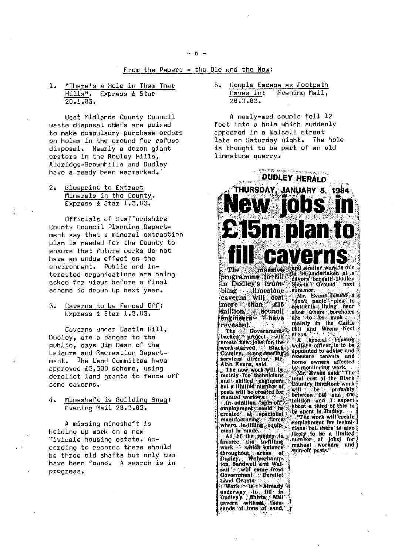# From the Papers - the Old and the New:

 $1.1$ "There's a Hole in Them Thar Hills". Express & Star  $20.1.63.$ 

West Midlands County Council waste disposal chefs are poised to make compulsory purchase orders on holes in the ground for refuse disposal. Nearly a dozen giant craters in the Rowley Hills. Aldridge-Brownhills and Dudley have already been earmarked.

2. Blueprint to Extract Minerals in the County. Express & Star 1.3.83.

Officials of Staffordshire County Council Planning Department say that a mineral extraction plan is needed for the County to ensure that future works do not have an undue effect on the environment. Public and interested organisations are being asked for views before a final scheme is drawn up next year.

3. Caverns to be Fenced Off: Express & Star 1.3.83.

Caverns under Castle Hill, Dudley, are a danger to the public, says Jim Dean of the Leisure and Recreation Departmant. The Land Committee have approved £3,300 scheme, using derelict land grants to fence off some caverns.

 $4.1$ Mineshaft is Building Snag: Evening Mail 28.3.83.

A missing mineshaft is holding up work on a new Tividale housing estate. According to records there should be three old shafts but only two have been found. A search is in progress.

 $5.$ Couple Escape as Footpath Caves in: Evening Mail.  $78.3.83.$ 

A newly-wed couple fell 12 faet into a hole which suddenly appeared in a Walsall street late on Saturday night. The hole is thought to be part of an old limestone quarry.

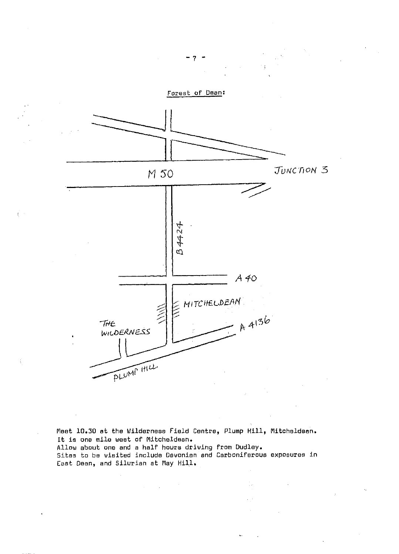

Meet 10.30 at the Wilderness Field Centre, Plump Hill, Mitcheldeen. It is one mile west of Mitcheldean. Allow about one and a half hours driving from Dudley. Sites to be visited include Devonian and Carboniferous exposures in East Dean, and Silurian at May Hill.

 $\overline{7}$